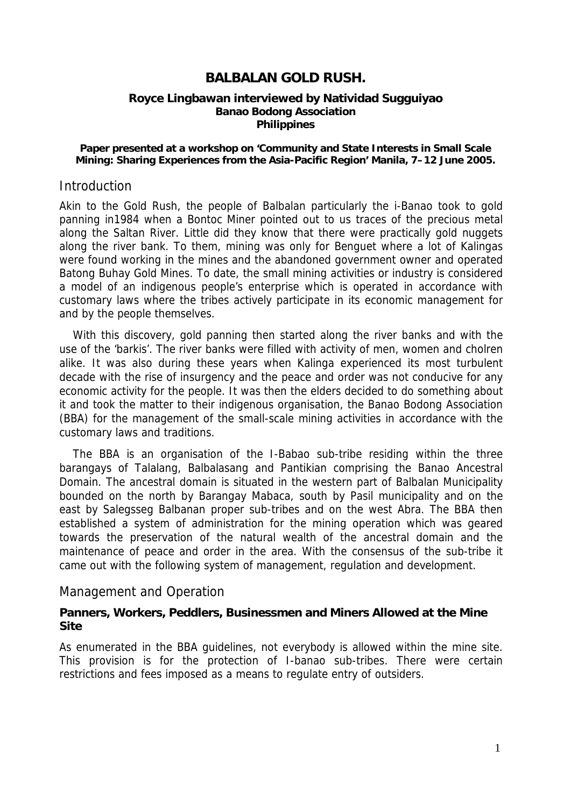## **BALBALAN GOLD RUSH.**

#### **Royce Lingbawan interviewed by Natividad Sugguiyao Banao Bodong Association Philippines**

#### **Paper presented at a workshop on 'Community and State Interests in Small Scale Mining: Sharing Experiences from the Asia-Pacific Region' Manila, 7–12 June 2005.**

#### **Introduction**

Akin to the Gold Rush, the people of Balbalan particularly the i-Banao took to gold panning in1984 when a Bontoc Miner pointed out to us traces of the precious metal along the Saltan River. Little did they know that there were practically gold nuggets along the river bank. To them, mining was only for Benguet where a lot of Kalingas were found working in the mines and the abandoned government owner and operated Batong Buhay Gold Mines. To date, the small mining activities or industry is considered a model of an indigenous people's enterprise which is operated in accordance with customary laws where the tribes actively participate in its economic management for and by the people themselves.

With this discovery, gold panning then started along the river banks and with the use of the 'barkis'. The river banks were filled with activity of men, women and cholren alike. It was also during these years when Kalinga experienced its most turbulent decade with the rise of insurgency and the peace and order was not conducive for any economic activity for the people. It was then the elders decided to do something about it and took the matter to their indigenous organisation, the Banao Bodong Association (BBA) for the management of the small-scale mining activities in accordance with the customary laws and traditions.

The BBA is an organisation of the I-Babao sub-tribe residing within the three barangays of Talalang, Balbalasang and Pantikian comprising the Banao Ancestral Domain. The ancestral domain is situated in the western part of Balbalan Municipality bounded on the north by Barangay Mabaca, south by Pasil municipality and on the east by Salegsseg Balbanan proper sub-tribes and on the west Abra. The BBA then established a system of administration for the mining operation which was geared towards the preservation of the natural wealth of the ancestral domain and the maintenance of peace and order in the area. With the consensus of the sub-tribe it came out with the following system of management, regulation and development.

### Management and Operation

#### **Panners, Workers, Peddlers, Businessmen and Miners Allowed at the Mine Site**

As enumerated in the BBA guidelines, not everybody is allowed within the mine site. This provision is for the protection of I-banao sub-tribes. There were certain restrictions and fees imposed as a means to regulate entry of outsiders.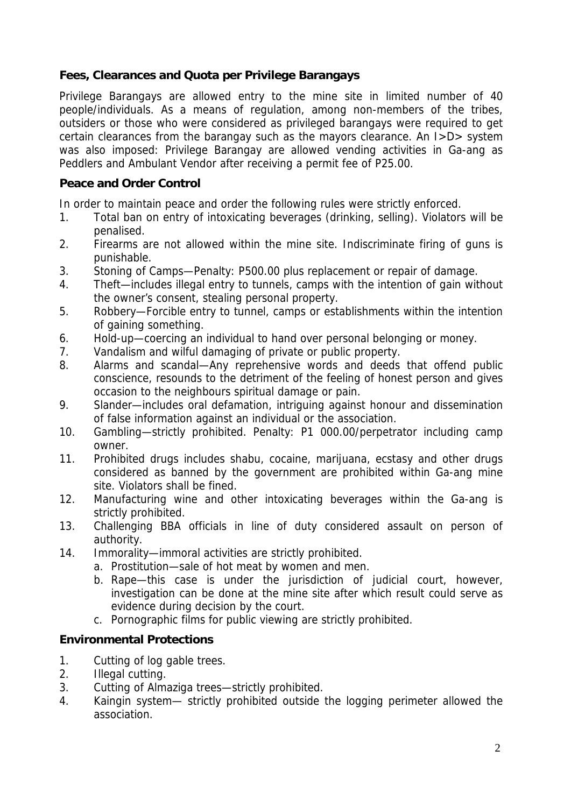## **Fees, Clearances and Quota per Privilege Barangays**

Privilege Barangays are allowed entry to the mine site in limited number of 40 people/individuals. As a means of regulation, among non-members of the tribes, outsiders or those who were considered as privileged barangays were required to get certain clearances from the barangay such as the mayors clearance. An I>D> system was also imposed: Privilege Barangay are allowed vending activities in Ga-ang as Peddlers and Ambulant Vendor after receiving a permit fee of P25.00.

## **Peace and Order Control**

In order to maintain peace and order the following rules were strictly enforced.

- 1. Total ban on entry of intoxicating beverages (drinking, selling). Violators will be penalised.
- 2. Firearms are not allowed within the mine site. Indiscriminate firing of guns is punishable.
- 3. Stoning of Camps—Penalty: P500.00 plus replacement or repair of damage.
- 4. Theft—includes illegal entry to tunnels, camps with the intention of gain without the owner's consent, stealing personal property.
- 5. Robbery—Forcible entry to tunnel, camps or establishments within the intention of gaining something.
- 6. Hold-up—coercing an individual to hand over personal belonging or money.
- 7. Vandalism and wilful damaging of private or public property.
- 8. Alarms and scandal—Any reprehensive words and deeds that offend public conscience, resounds to the detriment of the feeling of honest person and gives occasion to the neighbours spiritual damage or pain.
- 9. Slander—includes oral defamation, intriguing against honour and dissemination of false information against an individual or the association.
- 10. Gambling—strictly prohibited. Penalty: P1 000.00/perpetrator including camp owner.
- 11. Prohibited drugs includes shabu, cocaine, marijuana, ecstasy and other drugs considered as banned by the government are prohibited within Ga-ang mine site. Violators shall be fined.
- 12. Manufacturing wine and other intoxicating beverages within the Ga-ang is strictly prohibited.
- 13. Challenging BBA officials in line of duty considered assault on person of authority.
- 14. Immorality—immoral activities are strictly prohibited.
	- a. Prostitution—sale of hot meat by women and men.
	- b. Rape—this case is under the jurisdiction of judicial court, however, investigation can be done at the mine site after which result could serve as evidence during decision by the court.
	- c. Pornographic films for public viewing are strictly prohibited.

## **Environmental Protections**

- 1. Cutting of log gable trees.
- 2. Illegal cutting.
- 3. Cutting of Almaziga trees—strictly prohibited.
- 4. Kaingin system— strictly prohibited outside the logging perimeter allowed the association.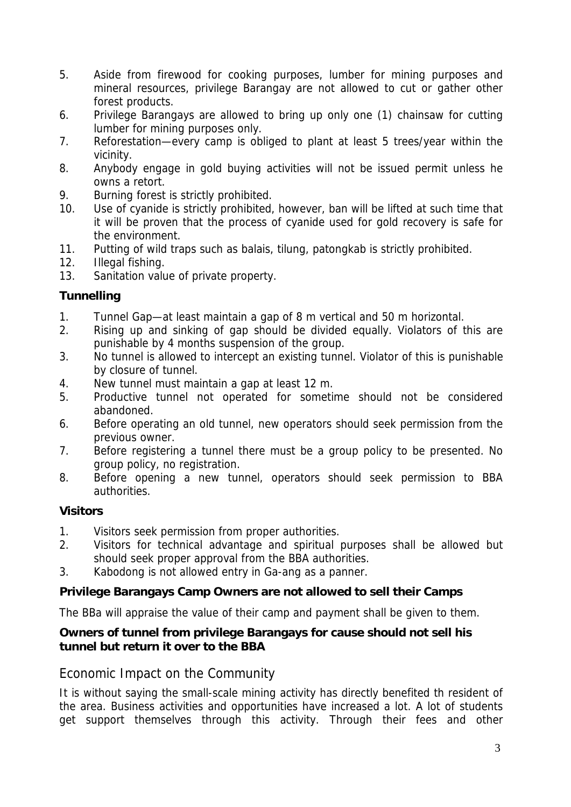- 5. Aside from firewood for cooking purposes, lumber for mining purposes and mineral resources, privilege Barangay are not allowed to cut or gather other forest products.
- 6. Privilege Barangays are allowed to bring up only one (1) chainsaw for cutting lumber for mining purposes only.
- 7. Reforestation—every camp is obliged to plant at least 5 trees/year within the vicinity.
- 8. Anybody engage in gold buying activities will not be issued permit unless he owns a retort.
- 9. Burning forest is strictly prohibited.
- 10. Use of cyanide is strictly prohibited, however, ban will be lifted at such time that it will be proven that the process of cyanide used for gold recovery is safe for the environment.
- 11. Putting of wild traps such as balais, tilung, patongkab is strictly prohibited.
- 12. Illegal fishing.
- 13. Sanitation value of private property.

## **Tunnelling**

- 1. Tunnel Gap—at least maintain a gap of 8 m vertical and 50 m horizontal.
- 2. Rising up and sinking of gap should be divided equally. Violators of this are punishable by 4 months suspension of the group.
- 3. No tunnel is allowed to intercept an existing tunnel. Violator of this is punishable by closure of tunnel.
- 4. New tunnel must maintain a gap at least 12 m.
- 5. Productive tunnel not operated for sometime should not be considered abandoned.
- 6. Before operating an old tunnel, new operators should seek permission from the previous owner.
- 7. Before registering a tunnel there must be a group policy to be presented. No group policy, no registration.
- 8. Before opening a new tunnel, operators should seek permission to BBA authorities.

# **Visitors**

- 1. Visitors seek permission from proper authorities.
- 2. Visitors for technical advantage and spiritual purposes shall be allowed but should seek proper approval from the BBA authorities.
- 3. Kabodong is not allowed entry in Ga-ang as a panner.

# **Privilege Barangays Camp Owners are not allowed to sell their Camps**

The BBa will appraise the value of their camp and payment shall be given to them.

## **Owners of tunnel from privilege Barangays for cause should not sell his tunnel but return it over to the BBA**

# Economic Impact on the Community

It is without saying the small-scale mining activity has directly benefited th resident of the area. Business activities and opportunities have increased a lot. A lot of students get support themselves through this activity. Through their fees and other